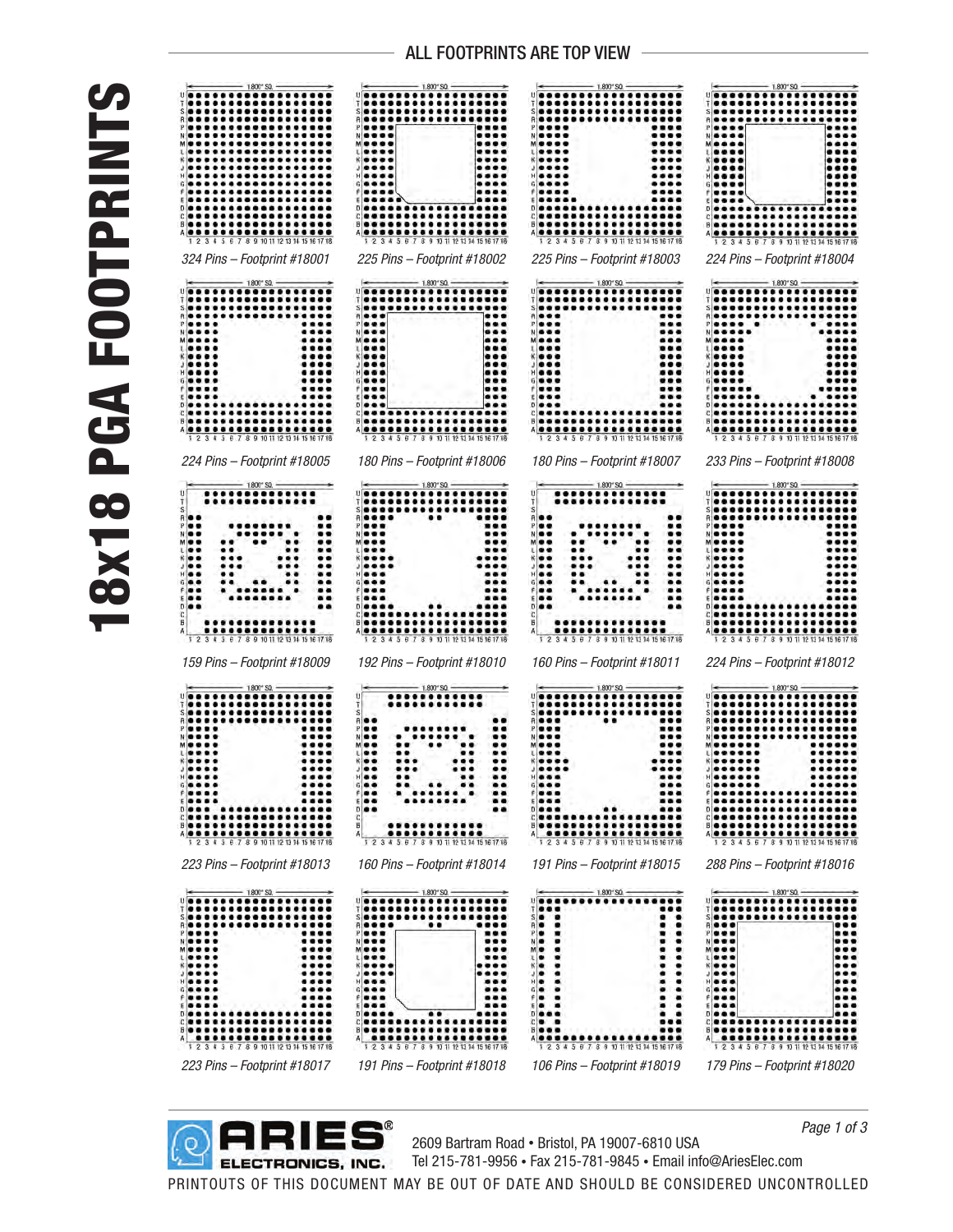## 18x18 PGA FOOTPRINTS **18x18 PGA FOOTPRINTS**





2609 Bartram Road • Bristol, PA 19007-6810 USA Tel 215-781-9956 • Fax 215-781-9845 • Email info@AriesElec.com

*Page 1 of 3*

PRINTOUTS OF THIS DOCUMENT MAY BE OUT OF DATE AND SHOULD BE CONSIDERED UNCONTROLLED

## ALL FOOTPRINTS ARE TOP VIEW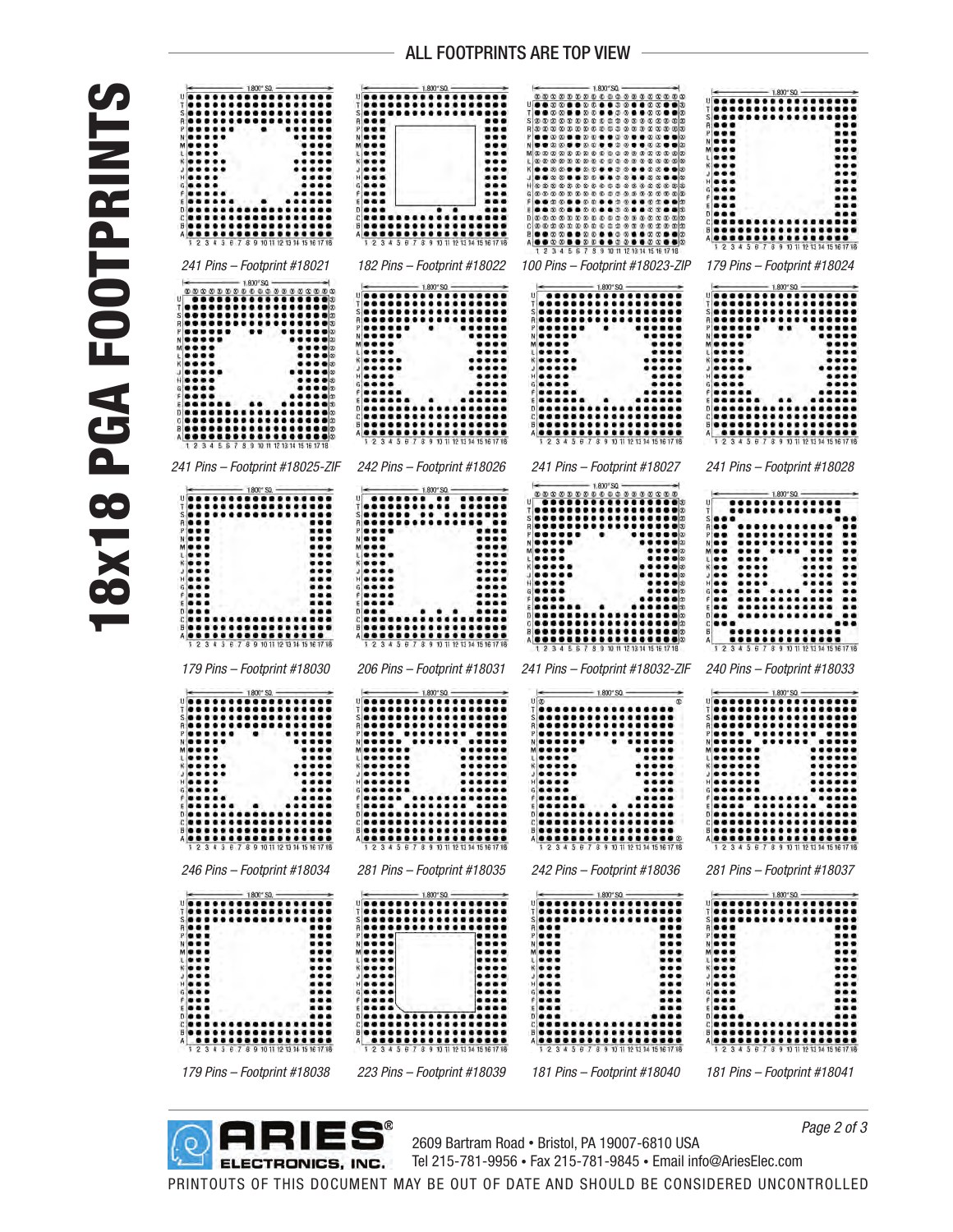## 18x18 PGA FOOTPRINTS **18x18 PGA FOOTPRINT**





2609 Bartram Road • Bristol, PA 19007-6810 USA Tel 215-781-9956 • Fax 215-781-9845 • Email info@AriesElec.com

*Page 2 of 3*

## ALL FOOTPRINTS ARE TOP VIEW

PRINTOUTS OF THIS DOCUMENT MAY BE OUT OF DATE AND SHOULD BE CONSIDERED UNCONTROLLED